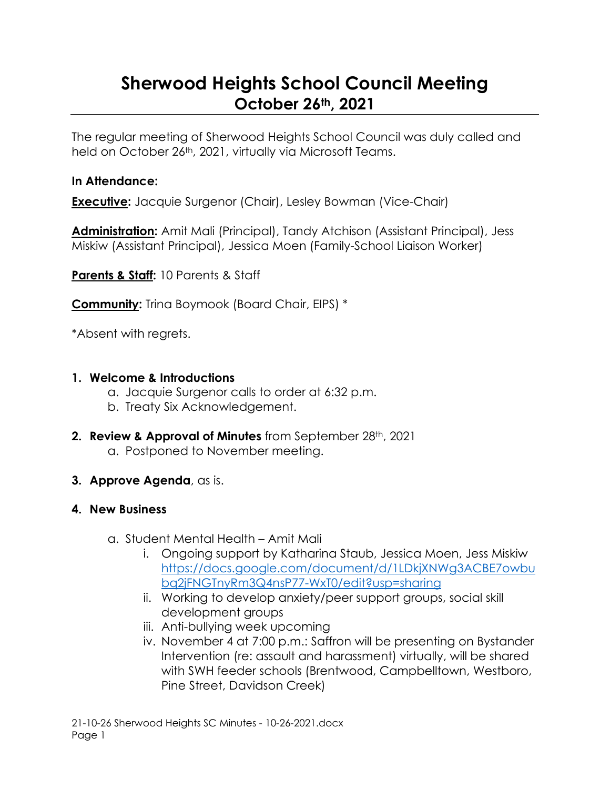# **Sherwood Heights School Council Meeting October 26th, 2021**

The regular meeting of Sherwood Heights School Council was duly called and held on October 26<sup>th</sup>, 2021, virtually via Microsoft Teams.

#### **In Attendance:**

**Executive:** Jacquie Surgenor (Chair), Lesley Bowman (Vice-Chair)

**Administration:** Amit Mali (Principal), Tandy Atchison (Assistant Principal), Jess Miskiw (Assistant Principal), Jessica Moen (Family-School Liaison Worker)

**Parents & Staff:** 10 Parents & Staff

**Community:** Trina Boymook (Board Chair, EIPS) \*

\*Absent with regrets.

#### **1. Welcome & Introductions**

- a. Jacquie Surgenor calls to order at 6:32 p.m.
- b. Treaty Six Acknowledgement.
- **2. Review & Approval of Minutes** from September 28th, 2021 a. Postponed to November meeting.
- **3. Approve Agenda**, as is.

## **4. New Business**

- a. Student Mental Health Amit Mali
	- i. Ongoing support by Katharina Staub, Jessica Moen, Jess Miskiw [https://docs.google.com/document/d/1LDkjXNWg3ACBE7owbu](https://docs.google.com/document/d/1LDkjXNWg3ACBE7owbubq2jFNGTnyRm3Q4nsP77-WxT0/edit?usp=sharing) [bq2jFNGTnyRm3Q4nsP77-WxT0/edit?usp=sharing](https://docs.google.com/document/d/1LDkjXNWg3ACBE7owbubq2jFNGTnyRm3Q4nsP77-WxT0/edit?usp=sharing)
	- ii. Working to develop anxiety/peer support groups, social skill development groups
	- iii. Anti-bullying week upcoming
	- iv. November 4 at 7:00 p.m.: Saffron will be presenting on Bystander Intervention (re: assault and harassment) virtually, will be shared with SWH feeder schools (Brentwood, Campbelltown, Westboro, Pine Street, Davidson Creek)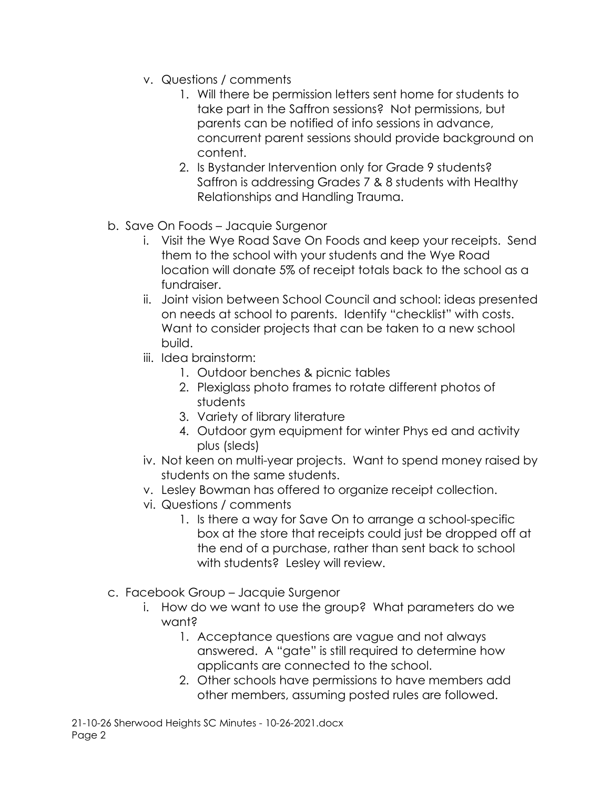- v. Questions / comments
	- 1. Will there be permission letters sent home for students to take part in the Saffron sessions? Not permissions, but parents can be notified of info sessions in advance, concurrent parent sessions should provide background on content.
	- 2. Is Bystander Intervention only for Grade 9 students? Saffron is addressing Grades 7 & 8 students with Healthy Relationships and Handling Trauma.
- b. Save On Foods Jacquie Surgenor
	- i. Visit the Wye Road Save On Foods and keep your receipts. Send them to the school with your students and the Wye Road location will donate 5% of receipt totals back to the school as a fundraiser.
	- ii. Joint vision between School Council and school: ideas presented on needs at school to parents. Identify "checklist" with costs. Want to consider projects that can be taken to a new school build.
	- iii. Idea brainstorm:
		- 1. Outdoor benches & picnic tables
		- 2. Plexiglass photo frames to rotate different photos of students
		- 3. Variety of library literature
		- 4. Outdoor gym equipment for winter Phys ed and activity plus (sleds)
	- iv. Not keen on multi-year projects. Want to spend money raised by students on the same students.
	- v. Lesley Bowman has offered to organize receipt collection.
	- vi. Questions / comments
		- 1. Is there a way for Save On to arrange a school-specific box at the store that receipts could just be dropped off at the end of a purchase, rather than sent back to school with students? Lesley will review.
- c. Facebook Group Jacquie Surgenor
	- i. How do we want to use the group? What parameters do we want?
		- 1. Acceptance questions are vague and not always answered. A "gate" is still required to determine how applicants are connected to the school.
		- 2. Other schools have permissions to have members add other members, assuming posted rules are followed.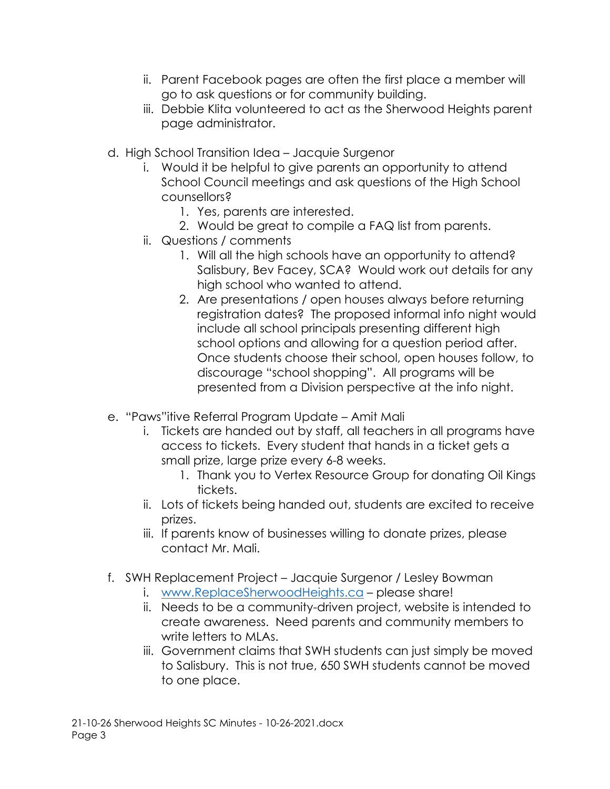- ii. Parent Facebook pages are often the first place a member will go to ask questions or for community building.
- iii. Debbie Klita volunteered to act as the Sherwood Heights parent page administrator.
- d. High School Transition Idea Jacquie Surgenor
	- i. Would it be helpful to give parents an opportunity to attend School Council meetings and ask questions of the High School counsellors?
		- 1. Yes, parents are interested.
		- 2. Would be great to compile a FAQ list from parents.
	- ii. Questions / comments
		- 1. Will all the high schools have an opportunity to attend? Salisbury, Bev Facey, SCA? Would work out details for any high school who wanted to attend.
		- 2. Are presentations / open houses always before returning registration dates? The proposed informal info night would include all school principals presenting different high school options and allowing for a question period after. Once students choose their school, open houses follow, to discourage "school shopping". All programs will be presented from a Division perspective at the info night.
- e. "Paws"itive Referral Program Update Amit Mali
	- i. Tickets are handed out by staff, all teachers in all programs have access to tickets. Every student that hands in a ticket gets a small prize, large prize every 6-8 weeks.
		- 1. Thank you to Vertex Resource Group for donating Oil Kings tickets.
	- ii. Lots of tickets being handed out, students are excited to receive prizes.
	- iii. If parents know of businesses willing to donate prizes, please contact Mr. Mali.
- f. SWH Replacement Project Jacquie Surgenor / Lesley Bowman
	- i. [www.ReplaceSherwoodHeights.ca](http://www.replacesherwoodheights.ca/) please share!
	- ii. Needs to be a community-driven project, website is intended to create awareness. Need parents and community members to write letters to MLAs.
	- iii. Government claims that SWH students can just simply be moved to Salisbury. This is not true, 650 SWH students cannot be moved to one place.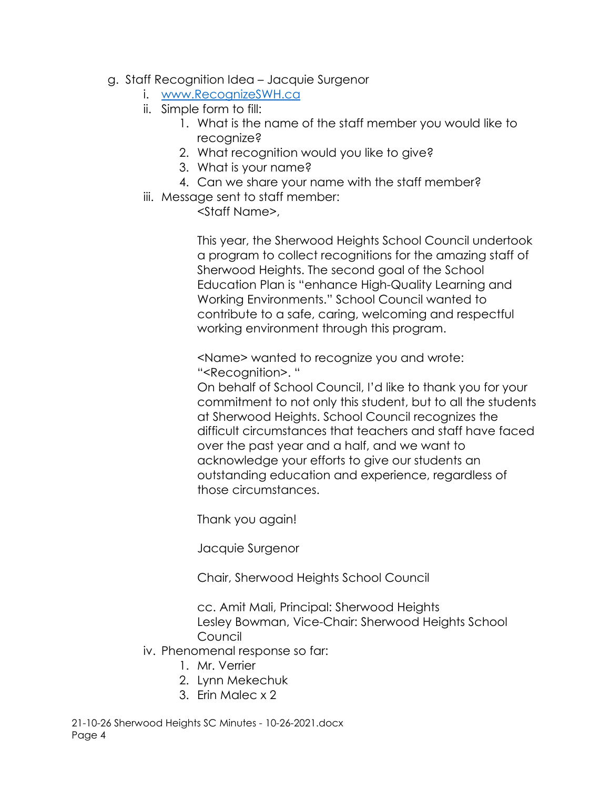- g. Staff Recognition Idea Jacquie Surgenor
	- i. [www.RecognizeSWH.ca](http://www.recognizeswh.ca/)
		- ii. Simple form to fill:
			- 1. What is the name of the staff member you would like to recognize?
			- 2. What recognition would you like to give?
			- 3. What is your name?
			- 4. Can we share your name with the staff member?
		- iii. Message sent to staff member:

<Staff Name>,

This year, the Sherwood Heights School Council undertook a program to collect recognitions for the amazing staff of Sherwood Heights. The second goal of the School Education Plan is "enhance High-Quality Learning and Working Environments." School Council wanted to contribute to a safe, caring, welcoming and respectful working environment through this program.

<Name> wanted to recognize you and wrote: "<Recognition>. "

On behalf of School Council, I'd like to thank you for your commitment to not only this student, but to all the students at Sherwood Heights. School Council recognizes the difficult circumstances that teachers and staff have faced over the past year and a half, and we want to acknowledge your efforts to give our students an outstanding education and experience, regardless of those circumstances.

Thank you again!

Jacquie Surgenor

Chair, Sherwood Heights School Council

cc. Amit Mali, Principal: Sherwood Heights Lesley Bowman, Vice-Chair: Sherwood Heights School Council

- iv. Phenomenal response so far:
	- 1. Mr. Verrier
	- 2. Lynn Mekechuk
	- 3. Erin Malec x 2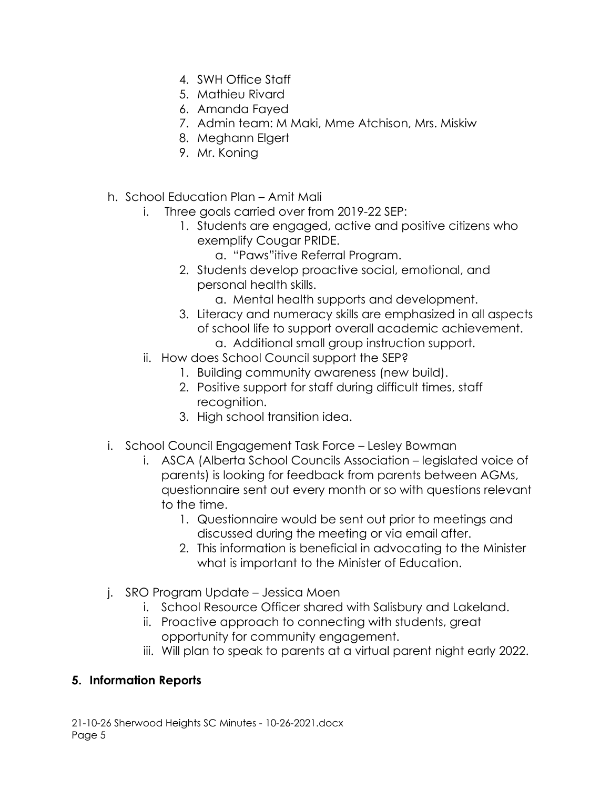- 4. SWH Office Staff
- 5. Mathieu Rivard
- 6. Amanda Fayed
- 7. Admin team: M Maki, Mme Atchison, Mrs. Miskiw
- 8. Meghann Elgert
- 9. Mr. Koning
- h. School Education Plan Amit Mali
	- i. Three goals carried over from 2019-22 SEP:
		- 1. Students are engaged, active and positive citizens who exemplify Cougar PRIDE.
			- a. "Paws"itive Referral Program.
		- 2. Students develop proactive social, emotional, and personal health skills.
			- a. Mental health supports and development.
		- 3. Literacy and numeracy skills are emphasized in all aspects of school life to support overall academic achievement. a. Additional small group instruction support.
	- ii. How does School Council support the SEP?
		- 1. Building community awareness (new build).
		- 2. Positive support for staff during difficult times, staff recognition.
		- 3. High school transition idea.
- i. School Council Engagement Task Force Lesley Bowman
	- i. ASCA (Alberta School Councils Association legislated voice of parents) is looking for feedback from parents between AGMs, questionnaire sent out every month or so with questions relevant to the time.
		- 1. Questionnaire would be sent out prior to meetings and discussed during the meeting or via email after.
		- 2. This information is beneficial in advocating to the Minister what is important to the Minister of Education.
- j. SRO Program Update Jessica Moen
	- i. School Resource Officer shared with Salisbury and Lakeland.
	- ii. Proactive approach to connecting with students, great opportunity for community engagement.
	- iii. Will plan to speak to parents at a virtual parent night early 2022.

# **5. Information Reports**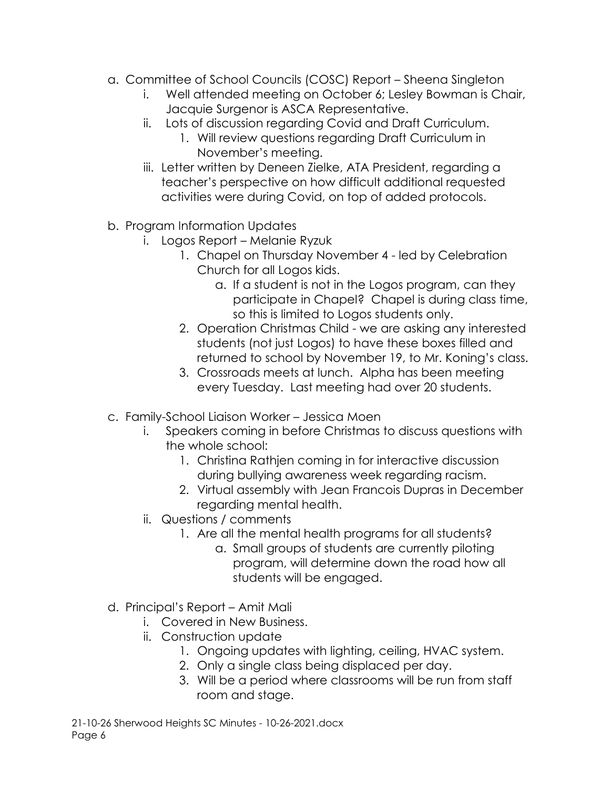- a. Committee of School Councils (COSC) Report Sheena Singleton
	- i. Well attended meeting on October 6; Lesley Bowman is Chair, Jacquie Surgenor is ASCA Representative.
	- ii. Lots of discussion regarding Covid and Draft Curriculum.
		- 1. Will review questions regarding Draft Curriculum in November's meeting.
	- iii. Letter written by Deneen Zielke, ATA President, regarding a teacher's perspective on how difficult additional requested activities were during Covid, on top of added protocols.
- b. Program Information Updates
	- i. Logos Report Melanie Ryzuk
		- 1. Chapel on Thursday November 4 led by Celebration Church for all Logos kids.
			- a. If a student is not in the Logos program, can they participate in Chapel? Chapel is during class time, so this is limited to Logos students only.
		- 2. Operation Christmas Child we are asking any interested students (not just Logos) to have these boxes filled and returned to school by November 19, to Mr. Koning's class.
		- 3. Crossroads meets at lunch. Alpha has been meeting every Tuesday. Last meeting had over 20 students.
- c. Family-School Liaison Worker Jessica Moen
	- i. Speakers coming in before Christmas to discuss questions with the whole school:
		- 1. Christina Rathjen coming in for interactive discussion during bullying awareness week regarding racism.
		- 2. Virtual assembly with Jean Francois Dupras in December regarding mental health.
	- ii. Questions / comments
		- 1. Are all the mental health programs for all students?
			- a. Small groups of students are currently piloting program, will determine down the road how all students will be engaged.
- d. Principal's Report Amit Mali
	- i. Covered in New Business.
	- ii. Construction update
		- 1. Ongoing updates with lighting, ceiling, HVAC system.
		- 2. Only a single class being displaced per day.
		- 3. Will be a period where classrooms will be run from staff room and stage.